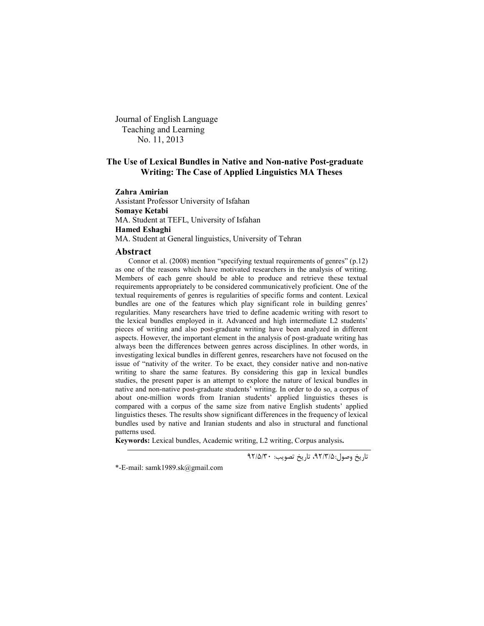Journal of English Language Teaching and Learning No. 11, 2013

## **The Use of Lexical Bundles in Native and Non-native Post-graduate Writing: The Case of Applied Linguistics MA Theses**

**Zahra Amirian**

Assistant Professor University of Isfahan **Somaye Ketabi** MA. Student at TEFL, University of Isfahan **Hamed Eshaghi** MA. Student at General linguistics, University of Tehran

#### **Abstract**

Connor et al. (2008) mention "specifying textual requirements of genres" (p.12) as one of the reasons which have motivated researchers in the analysis of writing. Members of each genre should be able to produce and retrieve these textual requirements appropriately to be considered communicatively proficient. One of the textual requirements of genres is regularities of specific forms and content. Lexical bundles are one of the features which play significant role in building genres' regularities. Many researchers have tried to define academic writing with resort to the lexical bundles employed in it. Advanced and high intermediate L2 students' pieces of writing and also post-graduate writing have been analyzed in different aspects. However, the important element in the analysis of post-graduate writing has always been the differences between genres across disciplines. In other words, in investigating lexical bundles in different genres, researchers have not focused on the issue of "nativity of the writer. To be exact, they consider native and non-native writing to share the same features. By considering this gap in lexical bundles studies, the present paper is an attempt to explore the nature of lexical bundles in native and non-native post-graduate students' writing. In order to do so, a corpus of about one-million words from Iranian students' applied linguistics theses is compared with a corpus of the same size from native English students' applied linguistics theses. The results show significant differences in the frequency of lexical bundles used by native and Iranian students and also in structural and functional patterns used.

**Keywords:** Lexical bundles, Academic writing, L2 writing, Corpus analysis**.**

تاریخ وصول،92/3/5: تاریخ تصویب: 92/5/30

<sup>\*-</sup>E-mail: samk1989.sk@gmail.com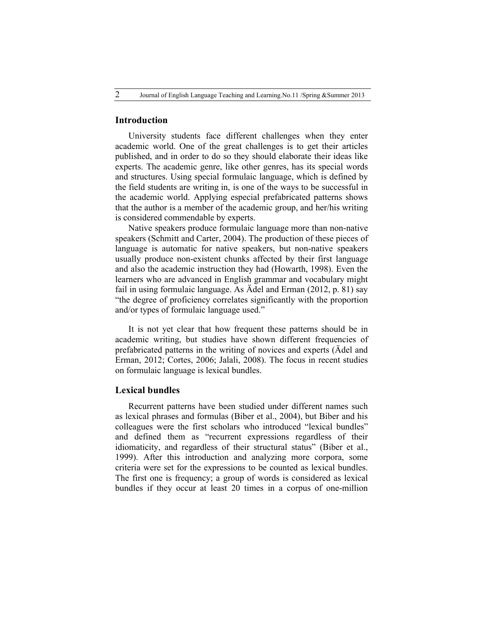#### **Introduction**

University students face different challenges when they enter academic world. One of the great challenges is to get their articles published, and in order to do so they should elaborate their ideas like experts. The academic genre, like other genres, has its special words and structures. Using special formulaic language, which is defined by the field students are writing in, is one of the ways to be successful in the academic world. Applying especial prefabricated patterns shows that the author is a member of the academic group, and her/his writing is considered commendable by experts.

Native speakers produce formulaic language more than non-native speakers (Schmitt and Carter, 2004). The production of these pieces of language is automatic for native speakers, but non-native speakers usually produce non-existent chunks affected by their first language and also the academic instruction they had (Howarth, 1998). Even the learners who are advanced in English grammar and vocabulary might fail in using formulaic language. As Ädel and Erman (2012, p. 81) say "the degree of proficiency correlates significantly with the proportion and/or types of formulaic language used."

It is not yet clear that how frequent these patterns should be in academic writing, but studies have shown different frequencies of prefabricated patterns in the writing of novices and experts (Ädel and Erman, 2012; Cortes, 2006; Jalali, 2008). The focus in recent studies on formulaic language is lexical bundles.

### **Lexical bundles**

Recurrent patterns have been studied under different names such as lexical phrases and formulas (Biber et al., 2004), but Biber and his colleagues were the first scholars who introduced "lexical bundles" and defined them as "recurrent expressions regardless of their idiomaticity, and regardless of their structural status" (Biber et al., 1999). After this introduction and analyzing more corpora, some criteria were set for the expressions to be counted as lexical bundles. The first one is frequency; a group of words is considered as lexical bundles if they occur at least 20 times in a corpus of one-million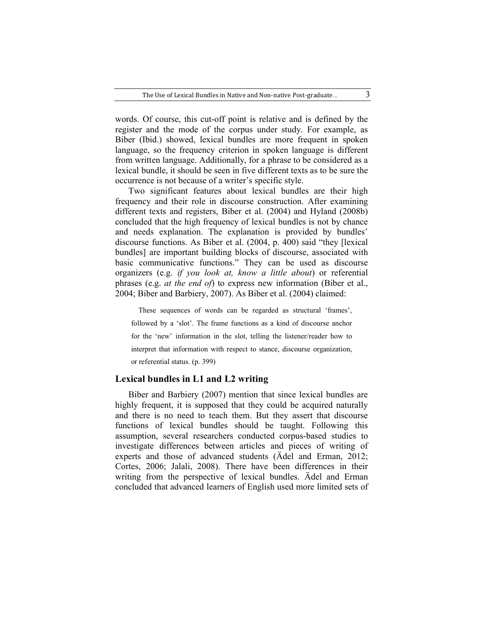words. Of course, this cut-off point is relative and is defined by the register and the mode of the corpus under study. For example, as Biber (Ibid.) showed, lexical bundles are more frequent in spoken language, so the frequency criterion in spoken language is different from written language. Additionally, for a phrase to be considered as a lexical bundle, it should be seen in five different texts as to be sure the occurrence is not because of a writer's specific style.

Two significant features about lexical bundles are their high frequency and their role in discourse construction. After examining different texts and registers, Biber et al. (2004) and Hyland (2008b) concluded that the high frequency of lexical bundles is not by chance and needs explanation. The explanation is provided by bundles' discourse functions. As Biber et al. (2004, p. 400) said "they [lexical bundles] are important building blocks of discourse, associated with basic communicative functions." They can be used as discourse organizers (e.g. *if you look at, know a little about*) or referential phrases (e.g. *at the end of*) to express new information (Biber et al., 2004; Biber and Barbiery, 2007). As Biber et al. (2004) claimed:

These sequences of words can be regarded as structural 'frames', followed by a 'slot'. The frame functions as a kind of discourse anchor for the 'new' information in the slot, telling the listener/reader how to interpret that information with respect to stance, discourse organization, or referential status. (p. 399)

#### **Lexical bundles in L1 and L2 writing**

Biber and Barbiery (2007) mention that since lexical bundles are highly frequent, it is supposed that they could be acquired naturally and there is no need to teach them. But they assert that discourse functions of lexical bundles should be taught. Following this assumption, several researchers conducted corpus-based studies to investigate differences between articles and pieces of writing of experts and those of advanced students (Ädel and Erman, 2012; Cortes, 2006; Jalali, 2008). There have been differences in their writing from the perspective of lexical bundles. Ädel and Erman concluded that advanced learners of English used more limited sets of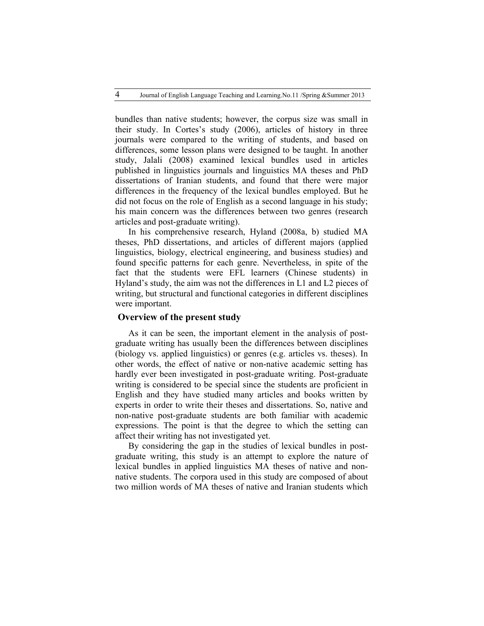bundles than native students; however, the corpus size was small in their study. In Cortes's study (2006), articles of history in three journals were compared to the writing of students, and based on differences, some lesson plans were designed to be taught. In another study, Jalali (2008) examined lexical bundles used in articles published in linguistics journals and linguistics MA theses and PhD dissertations of Iranian students, and found that there were major differences in the frequency of the lexical bundles employed. But he did not focus on the role of English as a second language in his study; his main concern was the differences between two genres (research articles and post-graduate writing).

In his comprehensive research, Hyland (2008a, b) studied MA theses, PhD dissertations, and articles of different majors (applied linguistics, biology, electrical engineering, and business studies) and found specific patterns for each genre. Nevertheless, in spite of the fact that the students were EFL learners (Chinese students) in Hyland's study, the aim was not the differences in L1 and L2 pieces of writing, but structural and functional categories in different disciplines were important.

## **Overview of the present study**

As it can be seen, the important element in the analysis of postgraduate writing has usually been the differences between disciplines (biology vs. applied linguistics) or genres (e.g. articles vs. theses). In other words, the effect of native or non-native academic setting has hardly ever been investigated in post-graduate writing. Post-graduate writing is considered to be special since the students are proficient in English and they have studied many articles and books written by experts in order to write their theses and dissertations. So, native and non-native post-graduate students are both familiar with academic expressions. The point is that the degree to which the setting can affect their writing has not investigated yet.

By considering the gap in the studies of lexical bundles in postgraduate writing, this study is an attempt to explore the nature of lexical bundles in applied linguistics MA theses of native and nonnative students. The corpora used in this study are composed of about two million words of MA theses of native and Iranian students which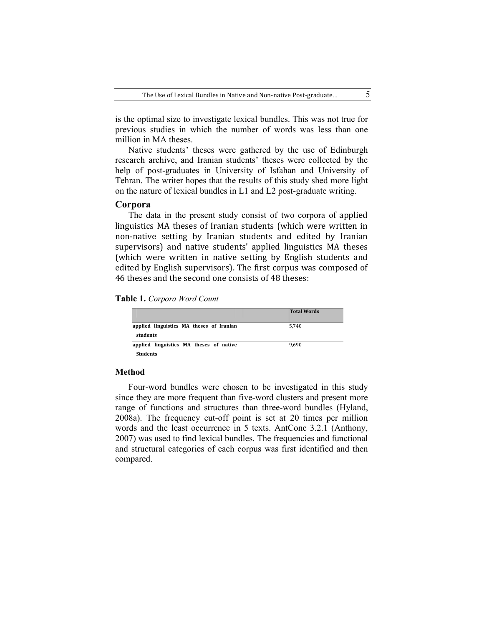is the optimal size to investigate lexical bundles. This was not true for previous studies in which the number of words was less than one million in MA theses.

Native students' theses were gathered by the use of Edinburgh research archive, and Iranian students' theses were collected by the help of post-graduates in University of Isfahan and University of Tehran. The writer hopes that the results of this study shed more light on the nature of lexical bundles in L1 and L2 post-graduate writing.

#### **Corpora**

The data in the present study consist of two corpora of applied linguistics MA theses of Iranian students (which were written in non-native setting by Iranian students and edited by Iranian supervisors) and native students' applied linguistics MA theses (which were written in native setting by English students and edited by English supervisors). The first corpus was composed of 46 theses and the second one consists of 48 theses:

**Table 1.** *Corpora Word Count*

|                                                            | <b>Total Words</b> |
|------------------------------------------------------------|--------------------|
| applied linguistics MA theses of Iranian<br>students       | 5.740              |
| applied linguistics MA theses of native<br><b>Students</b> | 9.690              |

#### **Method**

Four-word bundles were chosen to be investigated in this study since they are more frequent than five-word clusters and present more range of functions and structures than three-word bundles (Hyland, 2008a). The frequency cut-off point is set at 20 times per million words and the least occurrence in 5 texts. AntConc 3.2.1 (Anthony, 2007) was used to find lexical bundles. The frequencies and functional and structural categories of each corpus was first identified and then compared.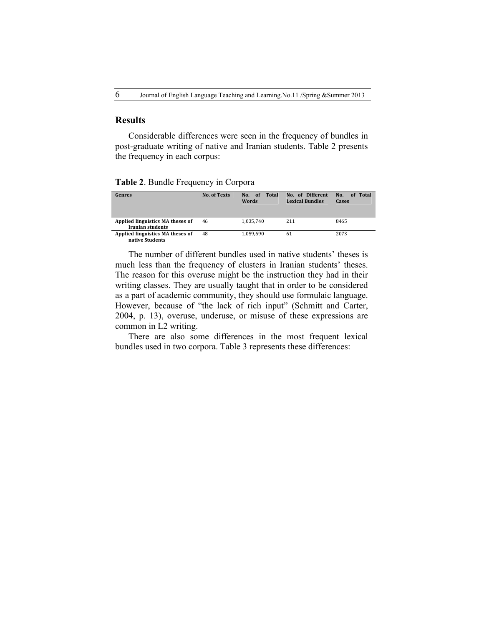## **Results**

Considerable differences were seen in the frequency of bundles in post-graduate writing of native and Iranian students. Table 2 presents the frequency in each corpus:

**Table 2**. Bundle Frequency in Corpora

| Genres                                                      | <b>No. of Texts</b> | No. of<br>Total<br><b>Words</b> | No. of Different<br><b>Lexical Bundles</b> | of Total<br>No.<br>Cases |
|-------------------------------------------------------------|---------------------|---------------------------------|--------------------------------------------|--------------------------|
| Applied linguistics MA theses of<br><b>Iranian students</b> | 46                  | 1.035.740                       | 211                                        | 8465                     |
| Applied linguistics MA theses of<br>native Students         | 48                  | 1.059.690                       | 61                                         | 2073                     |

The number of different bundles used in native students' theses is much less than the frequency of clusters in Iranian students' theses. The reason for this overuse might be the instruction they had in their writing classes. They are usually taught that in order to be considered as a part of academic community, they should use formulaic language. However, because of "the lack of rich input" (Schmitt and Carter, 2004, p. 13), overuse, underuse, or misuse of these expressions are common in L2 writing.

There are also some differences in the most frequent lexical bundles used in two corpora. Table 3 represents these differences: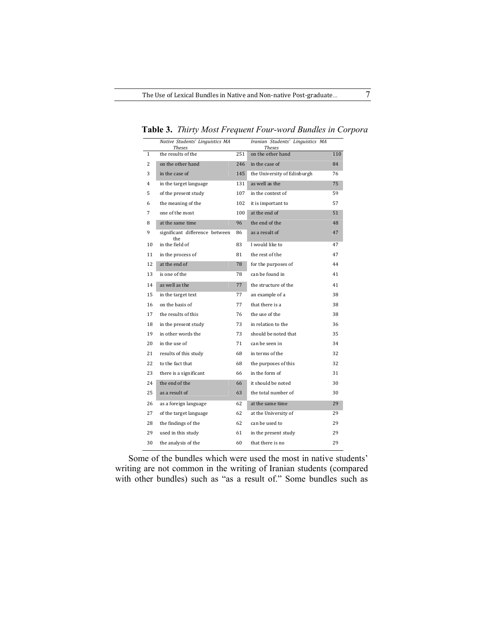|                | Native Students' Linguistics MA<br><b>Theses</b> |     | Iranian Students' Linguistics MA<br><b>Theses</b> |     |
|----------------|--------------------------------------------------|-----|---------------------------------------------------|-----|
| $\mathbf{1}$   | the results of the                               | 251 | on the other hand                                 | 110 |
| $\overline{c}$ | on the other hand                                | 246 | in the case of                                    | 84  |
| 3              | in the case of                                   | 145 | the University of Edinburgh                       | 76  |
| 4              | in the target language                           | 131 | as well as the                                    | 75  |
| 5              | of the present study                             | 107 | in the context of                                 | 59  |
| 6              | the meaning of the                               | 102 | it is important to                                | 57  |
| 7              | one of the most                                  | 100 | at the end of                                     | 51  |
| 8              | at the same time                                 | 96  | the end of the                                    | 48  |
| 9              | significant difference between<br>the            | 86  | as a result of                                    | 47  |
| 10             | in the field of                                  | 83  | I would like to                                   | 47  |
| 11             | in the process of                                | 81  | the rest of the                                   | 47  |
| 12             | at the end of                                    | 78  | for the purposes of                               | 44  |
| 13             | is one of the                                    | 78  | can be found in                                   | 41  |
| 14             | as well as the                                   | 77  | the structure of the                              | 41  |
| 15             | in the target text                               | 77  | an example of a                                   | 38  |
| 16             | on the basis of                                  | 77  | that there is a                                   | 38  |
| 17             | the results of this                              | 76  | the use of the                                    | 38  |
| 18             | in the present study                             | 73  | in relation to the                                | 36  |
| 19             | in other words the                               | 73  | should be noted that                              | 35  |
| 20             | in the use of                                    | 71  | can be seen in                                    | 34  |
| 21             | results of this study                            | 68  | in terms of the                                   | 32  |
| 22             | to the fact that                                 | 68  | the purposes of this                              | 32  |
| 23             | there is a significant                           | 66  | in the form of                                    | 31  |
| 24             | the end of the                                   | 66  | it should be noted                                | 30  |
| 25             | as a result of                                   | 63  | the total number of                               | 30  |
| 26             | as a foreign language                            | 62  | at the same time                                  | 29  |
| 27             | of the target language                           | 62  | at the University of                              | 29  |
| 28             | the findings of the                              | 62  | can be used to                                    | 29  |
| 29             | used in this study                               | 61  | in the present study                              | 29  |
| 30             | the analysis of the                              | 60  | that there is no                                  | 29  |
|                |                                                  |     |                                                   |     |

**Table 3.** *Thirty Most Frequent Four-word Bundles in Corpora*

Some of the bundles which were used the most in native students' writing are not common in the writing of Iranian students (compared with other bundles) such as "as a result of." Some bundles such as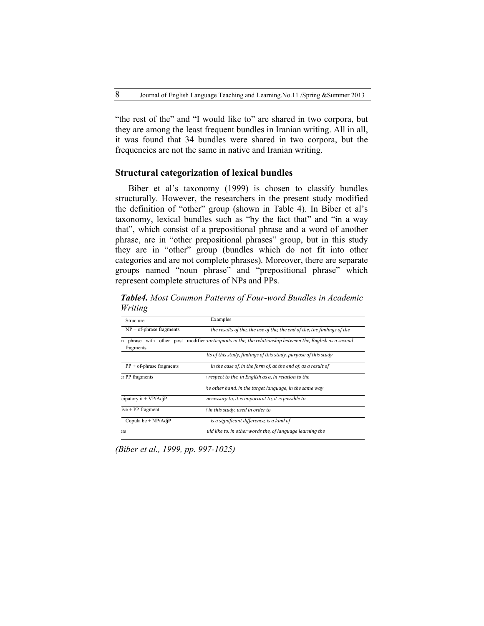"the rest of the" and "I would like to" are shared in two corpora, but they are among the least frequent bundles in Iranian writing. All in all, it was found that 34 bundles were shared in two corpora, but the frequencies are not the same in native and Iranian writing.

#### **Structural categorization of lexical bundles**

Biber et al's taxonomy (1999) is chosen to classify bundles structurally. However, the researchers in the present study modified the definition of "other" group (shown in Table 4). In Biber et al's taxonomy, lexical bundles such as "by the fact that" and "in a way that", which consist of a prepositional phrase and a word of another phrase, are in "other prepositional phrases" group, but in this study they are in "other" group (bundles which do not fit into other categories and are not complete phrases). Moreover, there are separate groups named "noun phrase" and "prepositional phrase" which represent complete structures of NPs and PPs.

| Structure                   | Examples                                                                                                      |
|-----------------------------|---------------------------------------------------------------------------------------------------------------|
| $NP + of$ -phrase fragments | the results of the, the use of the, the end of the, the findings of the                                       |
| fragments                   | n phrase with other post modifier <i>participants</i> in the the relationship between the English as a second |
|                             | Its of this study, findings of this study, purpose of this study                                              |
| $PP + of$ -phrase fragments | in the case of, in the form of, at the end of, as a result of                                                 |
| <b>T</b> PP fragments       | respect to the, in English as a, in relation to the                                                           |
|                             | he other hand, in the target language, in the same way                                                        |
| cipatory it + $VP/AdjP$     | necessary to, it is important to, it is possible to                                                           |
| $ive + PP$ fragment         | I in this study, used in order to                                                                             |
| Copula be $+ NP/AdjP$       | is a significant difference, is a kind of                                                                     |
| <b>TS</b>                   | uld like to, in other words the, of language learning the                                                     |

*Table4. Most Common Patterns of Four-word Bundles in Academic Writing* 

*(Biber et al., 1999, pp. 997-1025)*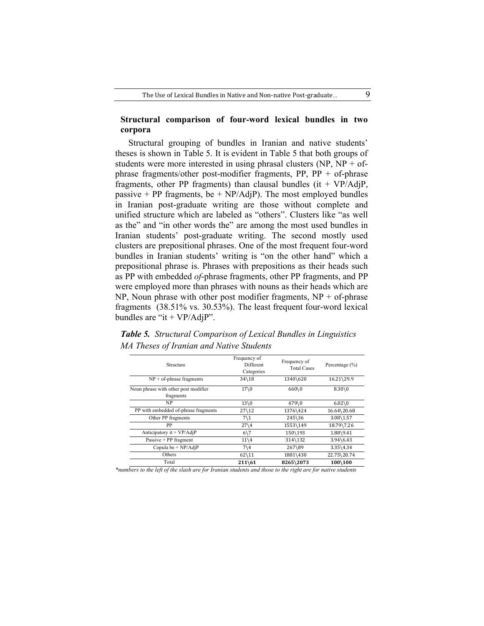## **Structural comparison of four-word lexical bundles in two corpora**

Structural grouping of bundles in Iranian and native students' theses is shown in Table 5. It is evident in Table 5 that both groups of students were more interested in using phrasal clusters  $(NP, NP + of$ phrase fragments/other post-modifier fragments, PP, PP + of-phrase fragments, other PP fragments) than clausal bundles (it +  $VP/AdjP$ , passive  $+ PP$  fragments, be  $+ NP/AdjP$ . The most employed bundles in Iranian post-graduate writing are those without complete and unified structure which are labeled as "others". Clusters like "as well as the" and "in other words the" are among the most used bundles in Iranian students' post-graduate writing. The second mostly used clusters are prepositional phrases. One of the most frequent four-word bundles in Iranian students' writing is "on the other hand" which a prepositional phrase is. Phrases with prepositions as their heads such as PP with embedded *of*-phrase fragments, other PP fragments, and PP were employed more than phrases with nouns as their heads which are  $NP$ , Noun phrase with other post modifier fragments,  $NP + of$ -phrase fragments (38.51% vs. 30.53%). The least frequent four-word lexical bundles are "it  $+ VP/AdjP$ ".

| <b>Table 5.</b> Structural Comparison of Lexical Bundles in Linguistics |  |  |
|-------------------------------------------------------------------------|--|--|
| MA Theses of Iranian and Native Students                                |  |  |

| Structure                                         | Frequency of<br>Different<br>Categories | Frequency of<br><b>Total Cases</b> | Percentage $(\% )$   |  |
|---------------------------------------------------|-----------------------------------------|------------------------------------|----------------------|--|
| $NP + of$ -phrase fragments                       | $34 \times 18$                          | 1340\620                           | 16.21\29.9           |  |
| Noun phrase with other post modifier<br>fragments | $17\backslash0$                         | 660\0                              | $8.30\,0$            |  |
| NP                                                | $13\backslash0$                         | 479\0                              | $6.02 \& 0$          |  |
| PP with embedded of-phrase fragments              | $27\backslash12$                        | 1376\424                           | 16.64\20.68          |  |
| Other PP fragments                                | $7\backslash1$                          | $245\36$                           | $3.08\backslash1.57$ |  |
| PP                                                | $27\backslash4$                         | 1553\149                           | 18.79\7.26           |  |
| Anticipatory it + VP/AdjP                         | $6\sqrt{7}$                             | 150\193                            | 1.88\9.41            |  |
| Passive $+$ PP fragment                           | $11\backslash4$                         | 314\132                            | $3.94\6.43$          |  |
| Copula be $+ NP/AdjP$                             | $7\backslash 4$                         | 267\89                             | $3.35\$ 4.34         |  |
| Others                                            | $62\backslash11$                        | 1881\430                           | 22.75\20.74          |  |
| Total                                             | $211\,61$                               | 8265\2073                          | 100\100              |  |

*\*numbers to the left of the slash are for Iranian students and those to the right are for native students*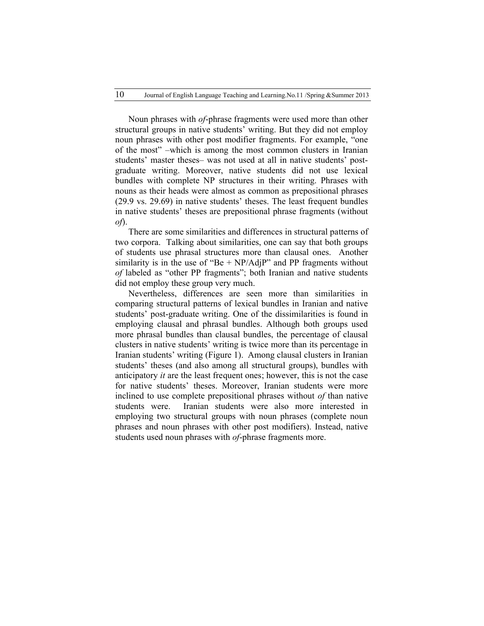Noun phrases with *of*-phrase fragments were used more than other structural groups in native students' writing. But they did not employ noun phrases with other post modifier fragments. For example, "one of the most" –which is among the most common clusters in Iranian students' master theses– was not used at all in native students' postgraduate writing. Moreover, native students did not use lexical bundles with complete NP structures in their writing. Phrases with nouns as their heads were almost as common as prepositional phrases (29.9 vs. 29.69) in native students' theses. The least frequent bundles in native students' theses are prepositional phrase fragments (without *of*).

There are some similarities and differences in structural patterns of two corpora. Talking about similarities, one can say that both groups of students use phrasal structures more than clausal ones. Another similarity is in the use of "Be  $+ NP/AdjP$ " and PP fragments without *of* labeled as "other PP fragments"; both Iranian and native students did not employ these group very much.

Nevertheless, differences are seen more than similarities in comparing structural patterns of lexical bundles in Iranian and native students' post-graduate writing. One of the dissimilarities is found in employing clausal and phrasal bundles. Although both groups used more phrasal bundles than clausal bundles, the percentage of clausal clusters in native students' writing is twice more than its percentage in Iranian students' writing (Figure 1). Among clausal clusters in Iranian students' theses (and also among all structural groups), bundles with anticipatory *it* are the least frequent ones; however, this is not the case for native students' theses. Moreover, Iranian students were more inclined to use complete prepositional phrases without *of* than native students were. Iranian students were also more interested in employing two structural groups with noun phrases (complete noun phrases and noun phrases with other post modifiers). Instead, native students used noun phrases with *of*-phrase fragments more.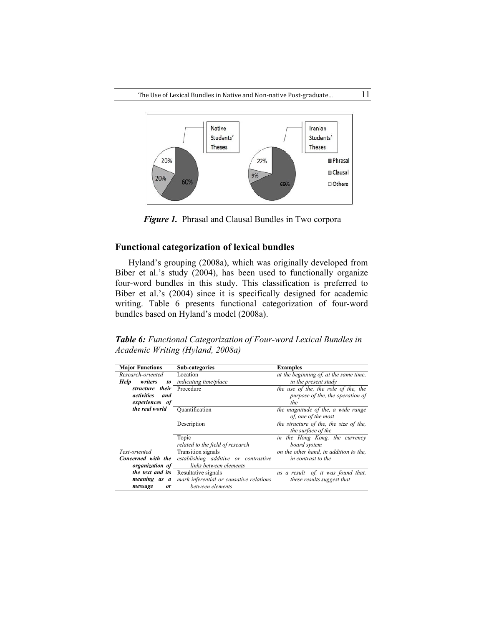

*Figure 1.* Phrasal and Clausal Bundles in Two corpora

## **Functional categorization of lexical bundles**

Hyland's grouping (2008a), which was originally developed from Biber et al.'s study (2004), has been used to functionally organize four-word bundles in this study. This classification is preferred to Biber et al.'s (2004) since it is specifically designed for academic writing. Table 6 presents functional categorization of four-word bundles based on Hyland's model (2008a).

*Table 6: Functional Categorization of Four-word Lexical Bundles in Academic Writing (Hyland, 2008a)*

| <b>Major Functions</b> | <b>Sub-categories</b>                   | <b>Examples</b>                        |
|------------------------|-----------------------------------------|----------------------------------------|
| Research-oriented      | Location                                | at the beginning of, at the same time, |
| writers<br>Help<br>to  | indicating time/place                   | in the present study                   |
| structure their        | Procedure                               | the use of the, the role of the, the   |
| activities<br>and      |                                         | purpose of the, the operation of       |
| experiences of         |                                         | the                                    |
| the real world         | Ouantification                          | the magnitude of the, a wide range     |
|                        |                                         | of, one of the most                    |
|                        | Description                             | the structure of the, the size of the, |
|                        |                                         | the surface of the                     |
|                        | Topic                                   | in the Hong Kong, the currency         |
|                        | related to the field of research        | board system                           |
| Text-oriented          | Transition signals                      | on the other hand, in addition to the, |
| Concerned with the     | establishing additive or contrastive    | in contrast to the                     |
| organization of        | links between elements                  |                                        |
| the text and its       | Resultative signals                     | as a result of, it was found that,     |
| meaning as a           | mark inferential or causative relations | these results suggest that             |
| message<br><b>or</b>   | between elements                        |                                        |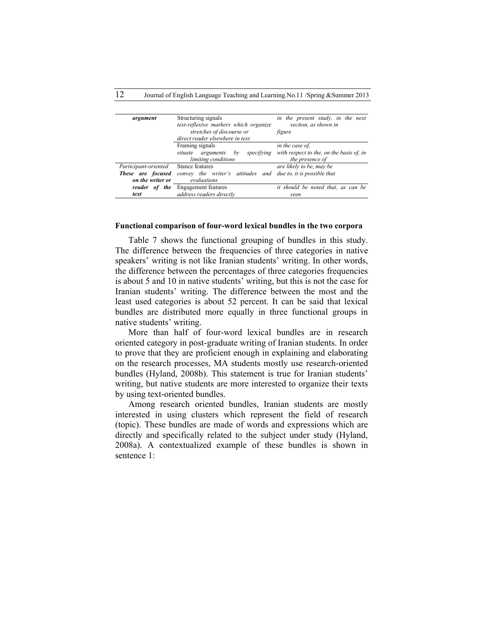| argument                        | Structuring signals                                           | in the present study, in the next                           |  |
|---------------------------------|---------------------------------------------------------------|-------------------------------------------------------------|--|
|                                 | text-reflexive markers which organize                         | section, as shown in                                        |  |
|                                 | stretches of discourse or                                     | figure                                                      |  |
|                                 | direct reader elsewhere in text                               |                                                             |  |
|                                 | Framing signals                                               | in the case of.                                             |  |
|                                 | specifying<br>situate<br>arguments<br>by                      | with respect to the, on the basis of, in<br>the presence of |  |
|                                 | limiting conditions                                           |                                                             |  |
| Participant-oriented            | Stance features                                               | are likely to be, may be                                    |  |
| These are focused               | convey the writer's attitudes and due to, it is possible that |                                                             |  |
| on the writer or<br>evaluations |                                                               |                                                             |  |
| reader of                       | <i>the</i> Engagement features                                | it should be noted that, as can be                          |  |
| text                            | address readers directly                                      | seen                                                        |  |

#### **Functional comparison of four-word lexical bundles in the two corpora**

Table 7 shows the functional grouping of bundles in this study. The difference between the frequencies of three categories in native speakers' writing is not like Iranian students' writing. In other words, the difference between the percentages of three categories frequencies is about 5 and 10 in native students' writing, but this is not the case for Iranian students' writing. The difference between the most and the least used categories is about 52 percent. It can be said that lexical bundles are distributed more equally in three functional groups in native students' writing.

More than half of four-word lexical bundles are in research oriented category in post-graduate writing of Iranian students. In order to prove that they are proficient enough in explaining and elaborating on the research processes, MA students mostly use research-oriented bundles (Hyland, 2008b). This statement is true for Iranian students' writing, but native students are more interested to organize their texts by using text-oriented bundles.

Among research oriented bundles, Iranian students are mostly interested in using clusters which represent the field of research (topic). These bundles are made of words and expressions which are directly and specifically related to the subject under study (Hyland, 2008a). A contextualized example of these bundles is shown in sentence 1: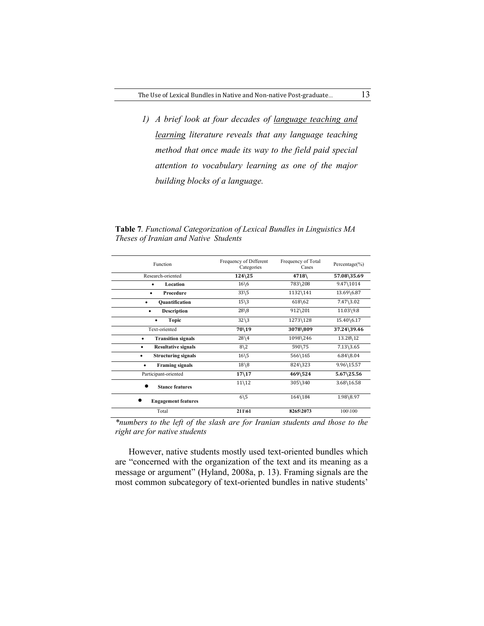*1) A brief look at four decades of language teaching and learning literature reveals that any language teaching method that once made its way to the field paid special attention to vocabulary learning as one of the major building blocks of a language.*

**Table 7***. Functional Categorization of Lexical Bundles in Linguistics MA Theses of Iranian and Native Students*

| Function                               | Frequency of Different<br>Categories | Frequency of Total<br>Cases | Percentage $(\% )$    |
|----------------------------------------|--------------------------------------|-----------------------------|-----------------------|
| Research-oriented                      | $124\overline{25}$                   | 4718                        | 57.08\35.69           |
| Location                               | $16\backslash 6$                     | 783\208                     | 9.47\1014             |
| Procedure                              | $33\backslash5$                      | 1132\141                    | 13.69\6.87            |
| <b>Quantification</b><br>٠             | $15\overline{\smash)3}$              | $618\,62$                   | $7.47\backslash3.02$  |
| <b>Description</b><br>٠                | $28 \ 8$                             | 912\201                     | 11.03\9.8             |
| <b>Topic</b>                           | $32\overline{\smash)3}$              | 1273\128                    | 15.40\6.17            |
| Text-oriented                          | 70\19                                | 3078\809                    | 37.24\39.46           |
| <b>Transition signals</b><br>$\bullet$ | $28\backslash4$                      | 1098\246                    | 13.28\12              |
| <b>Resultative signals</b><br>٠        | $8\backslash2$                       | 590\75                      | $7.13\backslash3.65$  |
| <b>Structuring signals</b>             | $16\backslash 5$                     | 566\165                     | $6.84\backslash 8.04$ |
| <b>Framing signals</b><br>٠            | $18\overline{8}$                     | 824\323                     | 9.96\15.57            |
| Participant-oriented                   | $17\backslash17$                     | 469\524                     | $5.67\backslash25.56$ |
| <b>Stance features</b>                 | $11\backslash12$                     | 305\340                     | 3.68\16.58            |
| <b>Engagement features</b>             | $6\backslash 5$                      | 164\184                     | 1.98\8.97             |
| Total                                  | 211\61                               | 8265\2073                   | 100\100               |

*\*numbers to the left of the slash are for Iranian students and those to the right are for native students*

 However, native students mostly used text-oriented bundles which are "concerned with the organization of the text and its meaning as a message or argument" (Hyland, 2008a, p. 13). Framing signals are the most common subcategory of text-oriented bundles in native students'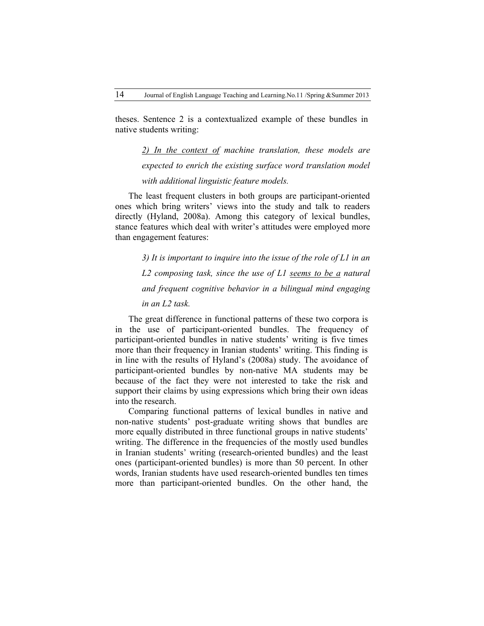theses. Sentence 2 is a contextualized example of these bundles in native students writing:

*2) In the context of machine translation, these models are expected to enrich the existing surface word translation model with additional linguistic feature models.*

The least frequent clusters in both groups are participant-oriented ones which bring writers' views into the study and talk to readers directly (Hyland, 2008a). Among this category of lexical bundles, stance features which deal with writer's attitudes were employed more than engagement features:

*3) It is important to inquire into the issue of the role of L1 in an L2 composing task, since the use of L1 seems to be a natural and frequent cognitive behavior in a bilingual mind engaging in an L2 task.*

The great difference in functional patterns of these two corpora is in the use of participant-oriented bundles. The frequency of participant-oriented bundles in native students' writing is five times more than their frequency in Iranian students' writing. This finding is in line with the results of Hyland's (2008a) study. The avoidance of participant-oriented bundles by non-native MA students may be because of the fact they were not interested to take the risk and support their claims by using expressions which bring their own ideas into the research.

Comparing functional patterns of lexical bundles in native and non-native students' post-graduate writing shows that bundles are more equally distributed in three functional groups in native students' writing. The difference in the frequencies of the mostly used bundles in Iranian students' writing (research-oriented bundles) and the least ones (participant-oriented bundles) is more than 50 percent. In other words, Iranian students have used research-oriented bundles ten times more than participant-oriented bundles. On the other hand, the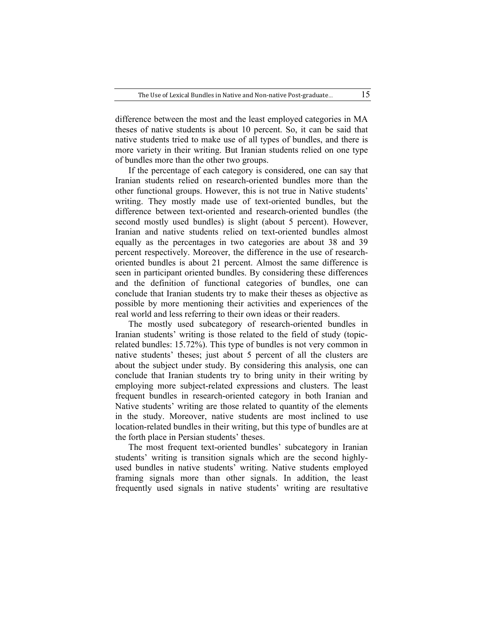difference between the most and the least employed categories in MA theses of native students is about 10 percent. So, it can be said that native students tried to make use of all types of bundles, and there is more variety in their writing. But Iranian students relied on one type of bundles more than the other two groups.

If the percentage of each category is considered, one can say that Iranian students relied on research-oriented bundles more than the other functional groups. However, this is not true in Native students' writing. They mostly made use of text-oriented bundles, but the difference between text-oriented and research-oriented bundles (the second mostly used bundles) is slight (about 5 percent). However, Iranian and native students relied on text-oriented bundles almost equally as the percentages in two categories are about 38 and 39 percent respectively. Moreover, the difference in the use of researchoriented bundles is about 21 percent. Almost the same difference is seen in participant oriented bundles. By considering these differences and the definition of functional categories of bundles, one can conclude that Iranian students try to make their theses as objective as possible by more mentioning their activities and experiences of the real world and less referring to their own ideas or their readers.

The mostly used subcategory of research-oriented bundles in Iranian students' writing is those related to the field of study (topicrelated bundles: 15.72%). This type of bundles is not very common in native students' theses; just about 5 percent of all the clusters are about the subject under study. By considering this analysis, one can conclude that Iranian students try to bring unity in their writing by employing more subject-related expressions and clusters. The least frequent bundles in research-oriented category in both Iranian and Native students' writing are those related to quantity of the elements in the study. Moreover, native students are most inclined to use location-related bundles in their writing, but this type of bundles are at the forth place in Persian students' theses.

The most frequent text-oriented bundles' subcategory in Iranian students' writing is transition signals which are the second highlyused bundles in native students' writing. Native students employed framing signals more than other signals. In addition, the least frequently used signals in native students' writing are resultative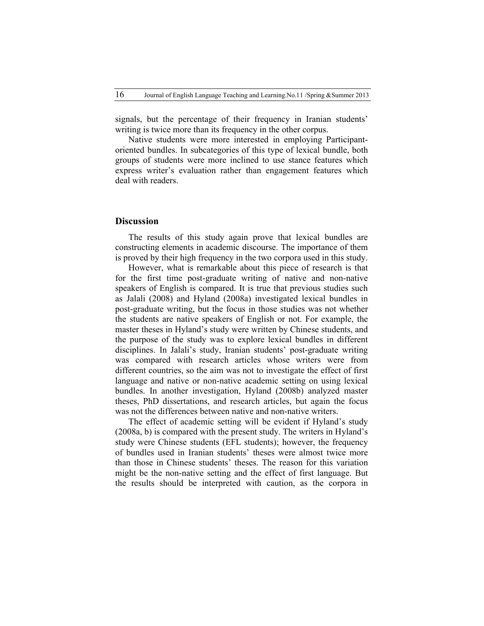signals, but the percentage of their frequency in Iranian students' writing is twice more than its frequency in the other corpus.

Native students were more interested in employing Participantoriented bundles. In subcategories of this type of lexical bundle, both groups of students were more inclined to use stance features which express writer's evaluation rather than engagement features which deal with readers.

## **Discussion**

The results of this study again prove that lexical bundles are constructing elements in academic discourse. The importance of them is proved by their high frequency in the two corpora used in this study.

However, what is remarkable about this piece of research is that for the first time post-graduate writing of native and non-native speakers of English is compared. It is true that previous studies such as Jalali (2008) and Hyland (2008a) investigated lexical bundles in post-graduate writing, but the focus in those studies was not whether the students are native speakers of English or not. For example, the master theses in Hyland's study were written by Chinese students, and the purpose of the study was to explore lexical bundles in different disciplines. In Jalali's study, Iranian students' post-graduate writing was compared with research articles whose writers were from different countries, so the aim was not to investigate the effect of first language and native or non-native academic setting on using lexical bundles. In another investigation, Hyland (2008b) analyzed master theses, PhD dissertations, and research articles, but again the focus was not the differences between native and non-native writers.

The effect of academic setting will be evident if Hyland's study (2008a, b) is compared with the present study. The writers in Hyland's study were Chinese students (EFL students); however, the frequency of bundles used in Iranian students' theses were almost twice more than those in Chinese students' theses. The reason for this variation might be the non-native setting and the effect of first language. But the results should be interpreted with caution, as the corpora in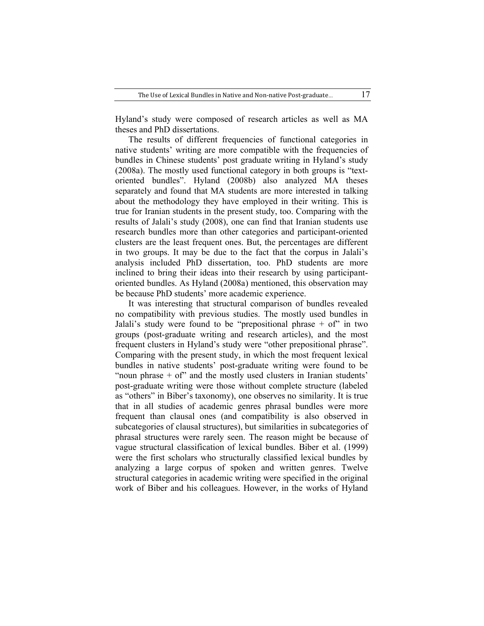Hyland's study were composed of research articles as well as MA theses and PhD dissertations.

The results of different frequencies of functional categories in native students' writing are more compatible with the frequencies of bundles in Chinese students' post graduate writing in Hyland's study (2008a). The mostly used functional category in both groups is "textoriented bundles". Hyland (2008b) also analyzed MA theses separately and found that MA students are more interested in talking about the methodology they have employed in their writing. This is true for Iranian students in the present study, too. Comparing with the results of Jalali's study (2008), one can find that Iranian students use research bundles more than other categories and participant-oriented clusters are the least frequent ones. But, the percentages are different in two groups. It may be due to the fact that the corpus in Jalali's analysis included PhD dissertation, too. PhD students are more inclined to bring their ideas into their research by using participantoriented bundles. As Hyland (2008a) mentioned, this observation may be because PhD students' more academic experience.

It was interesting that structural comparison of bundles revealed no compatibility with previous studies. The mostly used bundles in Jalali's study were found to be "prepositional phrase  $+$  of" in two groups (post-graduate writing and research articles), and the most frequent clusters in Hyland's study were "other prepositional phrase". Comparing with the present study, in which the most frequent lexical bundles in native students' post-graduate writing were found to be "noun phrase  $+$  of" and the mostly used clusters in Iranian students" post-graduate writing were those without complete structure (labeled as "others" in Biber's taxonomy), one observes no similarity. It is true that in all studies of academic genres phrasal bundles were more frequent than clausal ones (and compatibility is also observed in subcategories of clausal structures), but similarities in subcategories of phrasal structures were rarely seen. The reason might be because of vague structural classification of lexical bundles. Biber et al. (1999) were the first scholars who structurally classified lexical bundles by analyzing a large corpus of spoken and written genres. Twelve structural categories in academic writing were specified in the original work of Biber and his colleagues. However, in the works of Hyland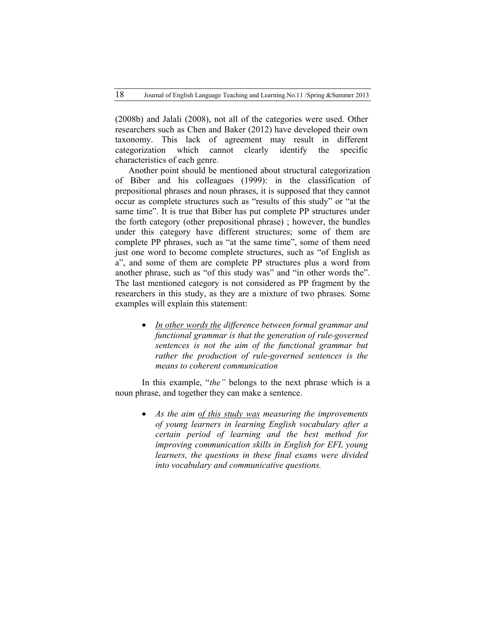(2008b) and Jalali (2008), not all of the categories were used. Other researchers such as Chen and Baker (2012) have developed their own taxonomy. This lack of agreement may result in different categorization which cannot clearly identify the specific characteristics of each genre.

Another point should be mentioned about structural categorization of Biber and his colleagues (1999): in the classification of prepositional phrases and noun phrases, it is supposed that they cannot occur as complete structures such as "results of this study" or "at the same time". It is true that Biber has put complete PP structures under the forth category (other prepositional phrase) ; however, the bundles under this category have different structures; some of them are complete PP phrases, such as "at the same time", some of them need just one word to become complete structures, such as "of English as a", and some of them are complete PP structures plus a word from another phrase, such as "of this study was" and "in other words the". The last mentioned category is not considered as PP fragment by the researchers in this study, as they are a mixture of two phrases. Some examples will explain this statement:

 *In other words the difference between formal grammar and functional grammar is that the generation of rule-governed sentences is not the aim of the functional grammar but rather the production of rule-governed sentences is the means to coherent communication* 

In this example, "*the"* belongs to the next phrase which is a noun phrase, and together they can make a sentence.

> *As the aim of this study was measuring the improvements of young learners in learning English vocabulary after a certain period of learning and the best method for improving communication skills in English for EFL young learners, the questions in these final exams were divided into vocabulary and communicative questions.*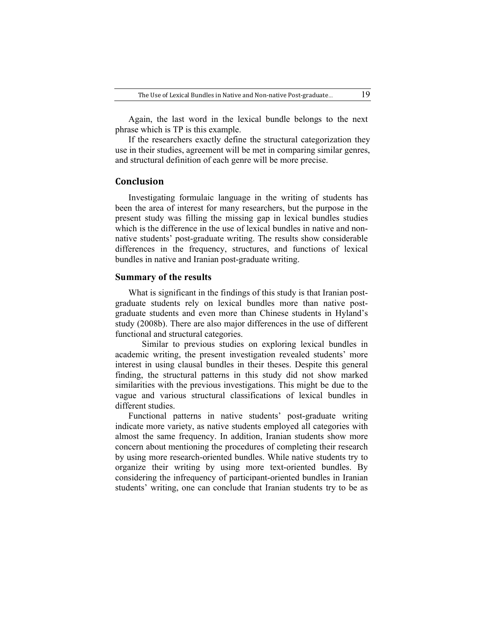Again, the last word in the lexical bundle belongs to the next phrase which is TP is this example.

If the researchers exactly define the structural categorization they use in their studies, agreement will be met in comparing similar genres, and structural definition of each genre will be more precise.

## **Conclusion**

Investigating formulaic language in the writing of students has been the area of interest for many researchers, but the purpose in the present study was filling the missing gap in lexical bundles studies which is the difference in the use of lexical bundles in native and nonnative students' post-graduate writing. The results show considerable differences in the frequency, structures, and functions of lexical bundles in native and Iranian post-graduate writing.

#### **Summary of the results**

What is significant in the findings of this study is that Iranian postgraduate students rely on lexical bundles more than native postgraduate students and even more than Chinese students in Hyland's study (2008b). There are also major differences in the use of different functional and structural categories.

Similar to previous studies on exploring lexical bundles in academic writing, the present investigation revealed students' more interest in using clausal bundles in their theses. Despite this general finding, the structural patterns in this study did not show marked similarities with the previous investigations. This might be due to the vague and various structural classifications of lexical bundles in different studies.

Functional patterns in native students' post-graduate writing indicate more variety, as native students employed all categories with almost the same frequency. In addition, Iranian students show more concern about mentioning the procedures of completing their research by using more research-oriented bundles. While native students try to organize their writing by using more text-oriented bundles. By considering the infrequency of participant-oriented bundles in Iranian students' writing, one can conclude that Iranian students try to be as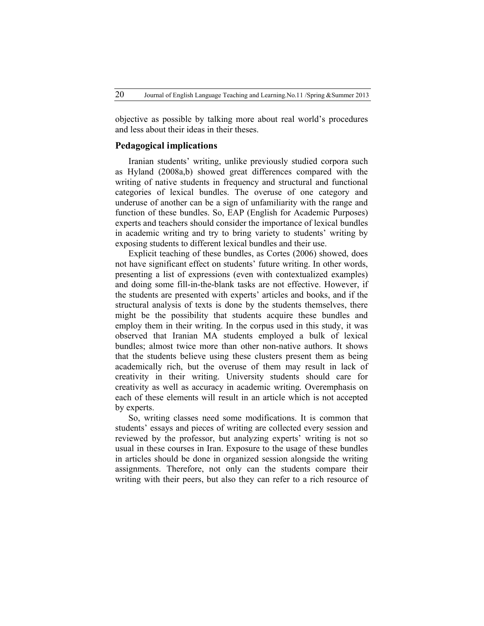objective as possible by talking more about real world's procedures and less about their ideas in their theses.

#### **Pedagogical implications**

Iranian students' writing, unlike previously studied corpora such as Hyland (2008a,b) showed great differences compared with the writing of native students in frequency and structural and functional categories of lexical bundles. The overuse of one category and underuse of another can be a sign of unfamiliarity with the range and function of these bundles. So, EAP (English for Academic Purposes) experts and teachers should consider the importance of lexical bundles in academic writing and try to bring variety to students' writing by exposing students to different lexical bundles and their use.

Explicit teaching of these bundles, as Cortes (2006) showed, does not have significant effect on students' future writing. In other words, presenting a list of expressions (even with contextualized examples) and doing some fill-in-the-blank tasks are not effective. However, if the students are presented with experts' articles and books, and if the structural analysis of texts is done by the students themselves, there might be the possibility that students acquire these bundles and employ them in their writing. In the corpus used in this study, it was observed that Iranian MA students employed a bulk of lexical bundles; almost twice more than other non-native authors. It shows that the students believe using these clusters present them as being academically rich, but the overuse of them may result in lack of creativity in their writing. University students should care for creativity as well as accuracy in academic writing. Overemphasis on each of these elements will result in an article which is not accepted by experts.

So, writing classes need some modifications. It is common that students' essays and pieces of writing are collected every session and reviewed by the professor, but analyzing experts' writing is not so usual in these courses in Iran. Exposure to the usage of these bundles in articles should be done in organized session alongside the writing assignments. Therefore, not only can the students compare their writing with their peers, but also they can refer to a rich resource of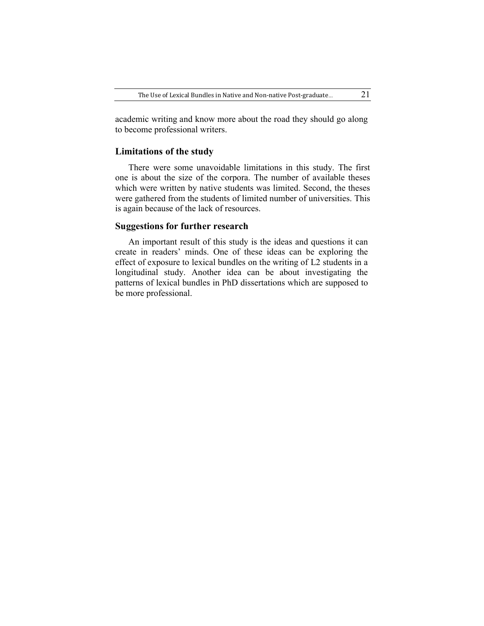academic writing and know more about the road they should go along to become professional writers.

## **Limitations of the study**

There were some unavoidable limitations in this study. The first one is about the size of the corpora. The number of available theses which were written by native students was limited. Second, the theses were gathered from the students of limited number of universities. This is again because of the lack of resources.

### **Suggestions for further research**

An important result of this study is the ideas and questions it can create in readers' minds. One of these ideas can be exploring the effect of exposure to lexical bundles on the writing of L2 students in a longitudinal study. Another idea can be about investigating the patterns of lexical bundles in PhD dissertations which are supposed to be more professional.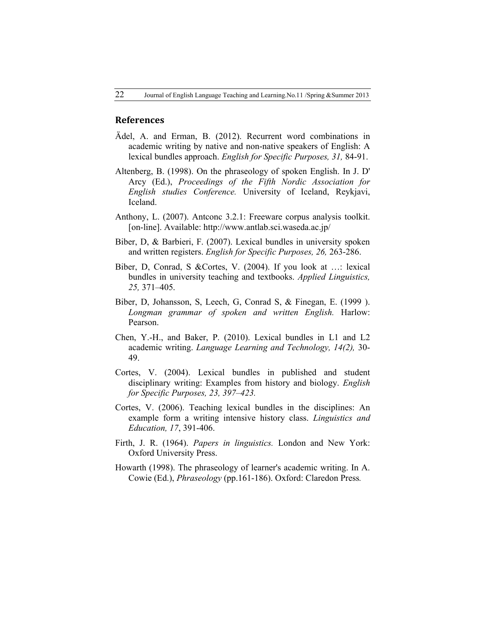#### **References**

- Ädel, A. and Erman, B. (2012). Recurrent word combinations in academic writing by native and non-native speakers of English: A lexical bundles approach. *English for Specific Purposes, 31,* 84-91.
- Altenberg, B. (1998). On the phraseology of spoken English. In J. D' Arcy (Ed.), *Proceedings of the Fifth Nordic Association for English studies Conference.* University of Iceland, Reykjavi, Iceland.
- Anthony, L. (2007). Antconc 3.2.1: Freeware corpus analysis toolkit. [on-line]. Available: http://www.antlab.sci.waseda.ac.jp/
- Biber, D, & Barbieri, F. (2007). Lexical bundles in university spoken and written registers. *English for Specific Purposes, 26,* 263-286.
- Biber, D, Conrad, S &Cortes, V. (2004). If you look at …: lexical bundles in university teaching and textbooks. *Applied Linguistics, 25,* 371–405.
- Biber, D, Johansson, S, Leech, G, Conrad S, & Finegan, E. (1999 ). *Longman grammar of spoken and written English.* Harlow: Pearson.
- Chen, Y.-H., and Baker, P. (2010). Lexical bundles in L1 and L2 academic writing. *Language Learning and Technology, 14(2),* 30- 49.
- Cortes, V. (2004). Lexical bundles in published and student disciplinary writing: Examples from history and biology. *English for Specific Purposes, 23, 397–423.*
- Cortes, V. (2006). Teaching lexical bundles in the disciplines: An example form a writing intensive history class. *Linguistics and Education, 17*, 391-406.
- Firth, J. R. (1964). *Papers in linguistics.* London and New York: Oxford University Press.
- Howarth (1998). The phraseology of learner's academic writing. In A. Cowie (Ed.), *Phraseology* (pp.161-186). Oxford: Claredon Press*.*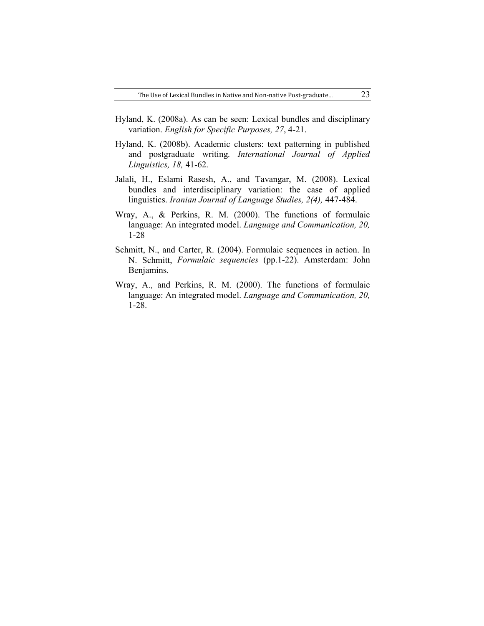- Hyland, K. (2008a). As can be seen: Lexical bundles and disciplinary variation. *English for Specific Purposes, 27*, 4-21.
- Hyland, K. (2008b). Academic clusters: text patterning in published and postgraduate writing. *International Journal of Applied Linguistics, 18,* 41-62.
- Jalali, H., Eslami Rasesh, A., and Tavangar, M. (2008). Lexical bundles and interdisciplinary variation: the case of applied linguistics. *Iranian Journal of Language Studies, 2(4),* 447-484.
- Wray, A., & Perkins, R. M. (2000). The functions of formulaic language: An integrated model. *Language and Communication, 20,*  1-28
- Schmitt, N., and Carter, R. (2004). Formulaic sequences in action. In N. Schmitt, *Formulaic sequencies* (pp.1-22). Amsterdam: John Benjamins.
- Wray, A., and Perkins, R. M. (2000). The functions of formulaic language: An integrated model. *Language and Communication, 20,*  1-28.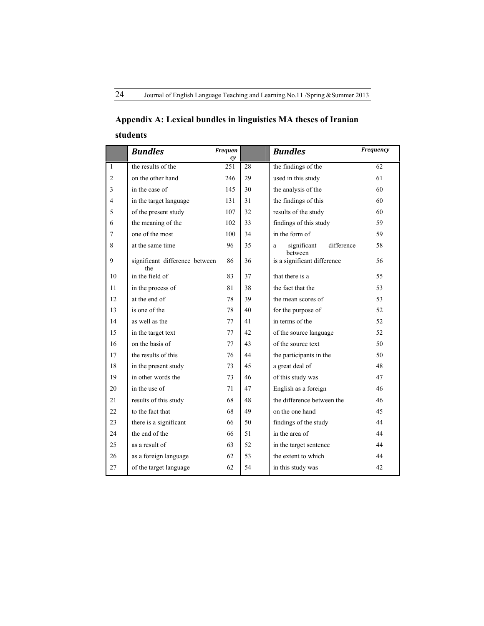## **Appendix A: Lexical bundles in linguistics MA theses of Iranian students**

|                | <b>Bundles</b>                        | <b>Frequen</b><br>cy |    | <b>Bundles</b>                            | Frequency |
|----------------|---------------------------------------|----------------------|----|-------------------------------------------|-----------|
| $\mathbf{1}$   | the results of the                    | 251                  | 28 | the findings of the                       | 62        |
| $\overline{c}$ | on the other hand                     | 246                  | 29 | used in this study                        | 61        |
| 3              | in the case of                        | 145                  | 30 | the analysis of the                       | 60        |
| 4              | in the target language                | 131                  | 31 | the findings of this                      | 60        |
| 5              | of the present study                  | 107                  | 32 | results of the study                      | 60        |
| 6              | the meaning of the                    | 102                  | 33 | findings of this study                    | 59        |
| $\overline{7}$ | one of the most                       | 100                  | 34 | in the form of                            | 59        |
| 8              | at the same time                      | 96                   | 35 | difference<br>significant<br>a<br>between | 58        |
| 9              | significant difference between<br>the | 86                   | 36 | is a significant difference               | 56        |
| 10             | in the field of                       | 83                   | 37 | that there is a                           | 55        |
| 11             | in the process of                     | 81                   | 38 | the fact that the                         | 53        |
| 12             | at the end of                         | 78                   | 39 | the mean scores of                        | 53        |
| 13             | is one of the                         | 78                   | 40 | for the purpose of                        | 52        |
| 14             | as well as the                        | 77                   | 41 | in terms of the                           | 52        |
| 15             | in the target text                    | 77                   | 42 | of the source language                    | 52        |
| 16             | on the basis of                       | 77                   | 43 | of the source text                        | 50        |
| 17             | the results of this                   | 76                   | 44 | the participants in the                   | 50        |
| 18             | in the present study                  | 73                   | 45 | a great deal of                           | 48        |
| 19             | in other words the                    | 73                   | 46 | of this study was                         | 47        |
| 20             | in the use of                         | 71                   | 47 | English as a foreign                      | 46        |
| 21             | results of this study                 | 68                   | 48 | the difference between the                | 46        |
| 22             | to the fact that                      | 68                   | 49 | on the one hand                           | 45        |
| 23             | there is a significant                | 66                   | 50 | findings of the study                     | 44        |
| 24             | the end of the                        | 66                   | 51 | in the area of                            | 44        |
| 25             | as a result of                        | 63                   | 52 | in the target sentence                    | 44        |
| 26             | as a foreign language                 | 62                   | 53 | the extent to which                       | 44        |
| 27             | of the target language                | 62                   | 54 | in this study was                         | 42        |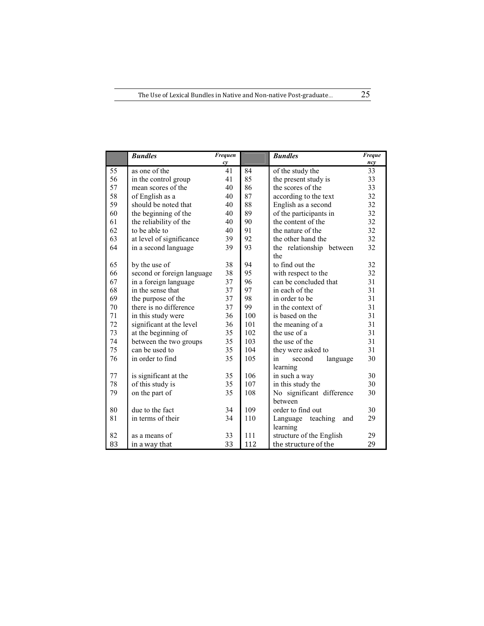|    | <b>Bundles</b>             | Frequen |     | <b>Bundles</b>              | <b>Freque</b> |
|----|----------------------------|---------|-----|-----------------------------|---------------|
|    |                            | cy      |     |                             | ncy           |
| 55 | as one of the              | 41      | 84  | of the study the            | 33            |
| 56 | in the control group       | 41      | 85  | the present study is        | 33            |
| 57 | mean scores of the         | 40      | 86  | the scores of the           | 33            |
| 58 | of English as a            | 40      | 87  | according to the text       | 32            |
| 59 | should be noted that       | 40      | 88  | English as a second         | 32            |
| 60 | the beginning of the       | 40      | 89  | of the participants in      | 32            |
| 61 | the reliability of the     | 40      | 90  | the content of the          | 32            |
| 62 | to be able to              | 40      | 91  | the nature of the           | 32            |
| 63 | at level of significance   | 39      | 92  | the other hand the          | 32            |
| 64 | in a second language       | 39      | 93  | the relationship between    | 32            |
|    |                            |         |     | the                         |               |
| 65 | by the use of              | 38      | 94  | to find out the             | 32            |
| 66 | second or foreign language | 38      | 95  | with respect to the         | 32            |
| 67 | in a foreign language      | 37      | 96  | can be concluded that       | 31            |
| 68 | in the sense that          | 37      | 97  | in each of the              | 31            |
| 69 | the purpose of the         | 37      | 98  | in order to be              | 31            |
| 70 | there is no difference     | 37      | 99  | in the context of           | 31            |
| 71 | in this study were         | 36      | 100 | is based on the             | 31            |
| 72 | significant at the level   | 36      | 101 | the meaning of a            | 31            |
| 73 | at the beginning of        | 35      | 102 | the use of a                | 31            |
| 74 | between the two groups     | 35      | 103 | the use of the              | 31            |
| 75 | can be used to             | 35      | 104 | they were asked to          | 31            |
| 76 | in order to find           | 35      | 105 | language<br>in<br>second    | 30            |
|    |                            |         |     | learning                    |               |
| 77 | is significant at the      | 35      | 106 | in such a way               | 30            |
| 78 | of this study is           | 35      | 107 | in this study the           | 30            |
| 79 | on the part of             | 35      | 108 | No significant difference   | 30            |
|    |                            |         |     | between                     |               |
| 80 | due to the fact            | 34      | 109 | order to find out           | 30            |
| 81 | in terms of their          | 34      | 110 | teaching<br>Language<br>and | 29            |
|    |                            |         |     | learning                    |               |
| 82 | as a means of              | 33      | 111 | structure of the English    | 29            |
| 83 | in a way that              | 33      | 112 | the structure of the        | 29            |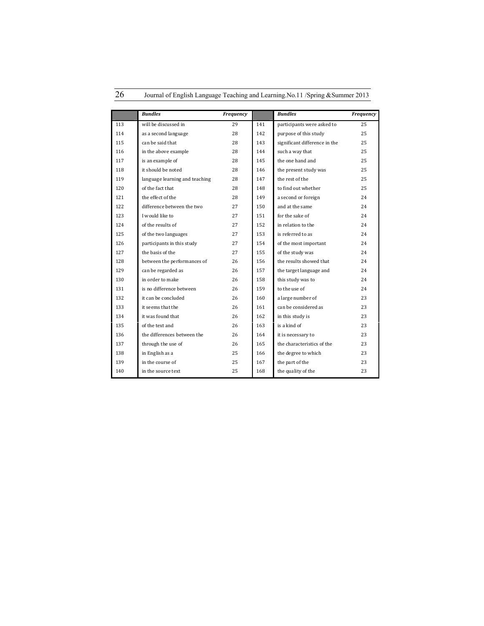|     | <b>Bundles</b>                 | Frequency |     | <b>Bundles</b>                | Frequency |
|-----|--------------------------------|-----------|-----|-------------------------------|-----------|
| 113 | will be discussed in           | 29        | 141 | participants were asked to    | 25        |
| 114 | as a second language           | 28        | 142 | purpose of this study         | 25        |
| 115 | can be said that               | 28        | 143 | significant difference in the | 25        |
| 116 | in the above example           | 28        | 144 | such a way that               | 25        |
| 117 | is an example of               | 28        | 145 | the one hand and              | 25        |
| 118 | it should be noted             | 28        | 146 | the present study was         | 25        |
| 119 | language learning and teaching | 28        | 147 | the rest of the               | 25        |
| 120 | of the fact that               | 28        | 148 | to find out whether           | 25        |
| 121 | the effect of the              | 28        | 149 | a second or foreign           | 24        |
| 122 | difference between the two     | 27        | 150 | and at the same               | 24        |
| 123 | I would like to                | 27        | 151 | for the sake of               | 24        |
| 124 | of the results of              | 27        | 152 | in relation to the            | 24        |
| 125 | of the two languages           | 27        | 153 | is referred to as             | 24        |
| 126 | participants in this study     | 27        | 154 | of the most important         | 24        |
| 127 | the basis of the               | 27        | 155 | of the study was              | 24        |
| 128 | between the performances of    | 26        | 156 | the results showed that       | 24        |
| 129 | can be regarded as             | 26        | 157 | the target language and       | 24        |
| 130 | in order to make               | 26        | 158 | this study was to             | 24        |
| 131 | is no difference between       | 26        | 159 | to the use of                 | 24        |
| 132 | it can be concluded            | 26        | 160 | a large number of             | 23        |
| 133 | it seems that the              | 26        | 161 | can be considered as          | 23        |
| 134 | it was found that              | 26        | 162 | in this study is              | 23        |
| 135 | of the text and                | 26        | 163 | is a kind of                  | 23        |
| 136 | the differences between the    | 26        | 164 | it is necessary to            | 23        |
| 137 | through the use of             | 26        | 165 | the characteristics of the    | 23        |
| 138 | in English as a                | 25        | 166 | the degree to which           | 23        |
| 139 | in the course of               | 25        | 167 | the part of the               | 23        |
| 140 | in the source text             | 25        | 168 | the quality of the            | 23        |

26 Journal of English Language Teaching and Learning.No.11 /Spring &Summer 2013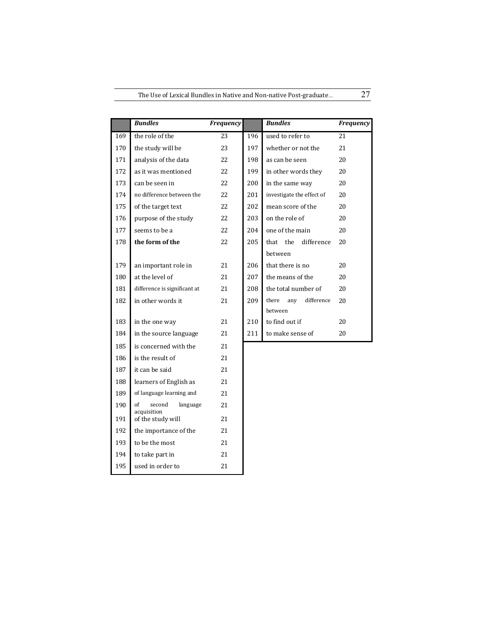|     | <b>Bundles</b>                   | Frequency |     | <b>Bundles</b>             | Frequency |
|-----|----------------------------------|-----------|-----|----------------------------|-----------|
| 169 | the role of the                  | 23        | 196 | used to refer to           | 21        |
| 170 | the study will be                | 23        | 197 | whether or not the         | 21        |
| 171 | analysis of the data             | 22        | 198 | as can be seen             | 20        |
| 172 | as it was mentioned              | 22        | 199 | in other words they        | 20        |
| 173 | can be seen in                   | 22        | 200 | in the same way            | 20        |
| 174 | no difference between the        | 22        | 201 | investigate the effect of  | 20        |
| 175 | of the target text               | 22        | 202 | mean score of the          | 20        |
| 176 | purpose of the study             | 22        | 203 | on the role of             | 20        |
| 177 | seems to be a                    | 22        | 204 | one of the main            | 20        |
| 178 | the form of the                  | 22        | 205 | the<br>difference<br>that  | 20        |
|     |                                  |           |     | between                    |           |
| 179 | an important role in             | 21        | 206 | that there is no           | 20        |
| 180 | at the level of                  | 21        | 207 | the means of the           | 20        |
| 181 | difference is significant at     | 21        | 208 | the total number of        | 20        |
| 182 | in other words it                | 21        | 209 | difference<br>there<br>any | 20        |
|     |                                  |           |     | between                    |           |
| 183 | in the one way                   | 21        | 210 | to find out if             | 20        |
| 184 | in the source language           | 21        | 211 | to make sense of           | 20        |
| 185 | is concerned with the            | 21        |     |                            |           |
| 186 | is the result of                 | 21        |     |                            |           |
| 187 | it can be said                   | 21        |     |                            |           |
| 188 | learners of English as           | 21        |     |                            |           |
| 189 | of language learning and         | 21        |     |                            |           |
| 190 | second<br>language<br>of         | 21        |     |                            |           |
| 191 | acquisition<br>of the study will | 21        |     |                            |           |
| 192 | the importance of the            | 21        |     |                            |           |
| 193 | to be the most                   | 21        |     |                            |           |
| 194 | to take part in                  | 21        |     |                            |           |

195 used in order to 21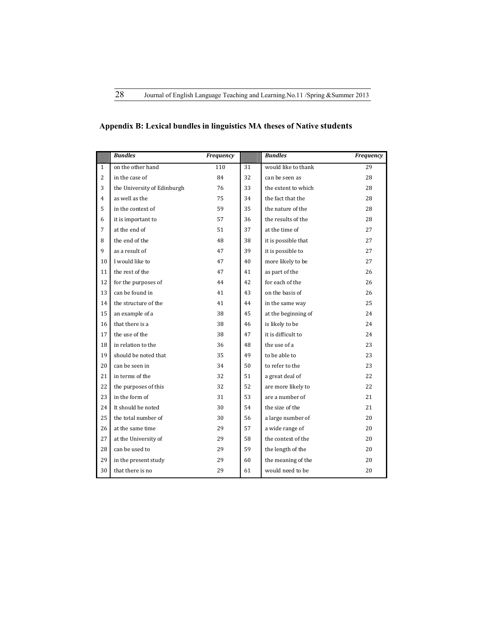## **Appendix B: Lexical bundles in linguistics MA theses of Native students**

|                | <b>Bundles</b>              | Frequency |    | <b>Bundles</b>      | Frequency |
|----------------|-----------------------------|-----------|----|---------------------|-----------|
| $\mathbf{1}$   | on the other hand           | 110       | 31 | would like to thank | 29        |
| $\overline{c}$ | in the case of              | 84        | 32 | can be seen as      | 28        |
| 3              | the University of Edinburgh | 76        | 33 | the extent to which | 28        |
| $\overline{4}$ | as well as the              | 75        | 34 | the fact that the   | 28        |
| 5              | in the context of           | 59        | 35 | the nature of the   | 28        |
| 6              | it is important to          | 57        | 36 | the results of the  | 28        |
| 7              | at the end of               | 51        | 37 | at the time of      | 27        |
| 8              | the end of the              | 48        | 38 | it is possible that | 27        |
| 9              | as a result of              | 47        | 39 | it is possible to   | 27        |
| 10             | I would like to             | 47        | 40 | more likely to be   | 27        |
| 11             | the rest of the             | 47        | 41 | as part of the      | 26        |
| 12             | for the purposes of         | 44        | 42 | for each of the     | 26        |
| 13             | can be found in             | 41        | 43 | on the basis of     | 26        |
| 14             | the structure of the        | 41        | 44 | in the same way     | 25        |
| 15             | an example of a             | 38        | 45 | at the beginning of | 24        |
| 16             | that there is a             | 38        | 46 | is likely to be     | 24        |
| 17             | the use of the              | 38        | 47 | it is difficult to  | 24        |
| 18             | in relation to the          | 36        | 48 | the use of a        | 23        |
| 19             | should be noted that        | 35        | 49 | to be able to       | 23        |
| 20             | can be seen in              | 34        | 50 | to refer to the     | 23        |
| 21             | in terms of the             | 32        | 51 | a great deal of     | 22        |
| 22             | the purposes of this        | 32        | 52 | are more likely to  | 22        |
| 23             | in the form of              | 31        | 53 | are a number of     | 21        |
| 24             | It should be noted          | 30        | 54 | the size of the     | 21        |
| 25             | the total number of         | 30        | 56 | a large number of   | 20        |
| 26             | at the same time            | 29        | 57 | a wide range of     | 20        |
| 27             | at the University of        | 29        | 58 | the context of the  | 20        |
| 28             | can be used to              | 29        | 59 | the length of the   | 20        |
| 29             | in the present study        | 29        | 60 | the meaning of the  | 20        |
| 30             | that there is no            | 29        | 61 | would need to be    | 20        |